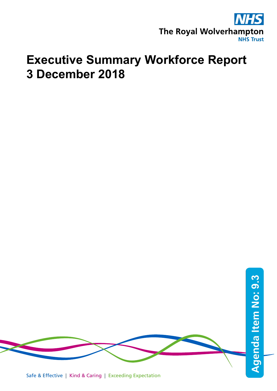

# **Executive Summary Workforce Report 3 December 2018**

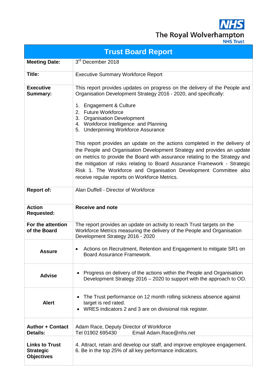**AHS** The Royal Wolverhampton

|                                                                | <b>Trust Board Report</b>                                                                                                                                                                                                                                                                                                                                                                                                               |
|----------------------------------------------------------------|-----------------------------------------------------------------------------------------------------------------------------------------------------------------------------------------------------------------------------------------------------------------------------------------------------------------------------------------------------------------------------------------------------------------------------------------|
| <b>Meeting Date:</b>                                           | 3rd December 2018                                                                                                                                                                                                                                                                                                                                                                                                                       |
| Title:                                                         | <b>Executive Summary Workforce Report</b>                                                                                                                                                                                                                                                                                                                                                                                               |
| <b>Executive</b><br><b>Summary:</b>                            | This report provides updates on progress on the delivery of the People and<br>Organisation Development Strategy 2016 - 2020, and specifically:<br>1. Engagement & Culture                                                                                                                                                                                                                                                               |
|                                                                | 2. Future Workforce<br>3. Organisation Development<br>4. Workforce Intelligence and Planning<br>5. Underpinning Workforce Assurance                                                                                                                                                                                                                                                                                                     |
|                                                                | This report provides an update on the actions completed in the delivery of<br>the People and Organisation Development Strategy and provides an update<br>on metrics to provide the Board with assurance relating to the Strategy and<br>the mitigation of risks relating to Board Assurance Framework - Strategic<br>Risk 1. The Workforce and Organisation Development Committee also<br>receive regular reports on Workforce Metrics. |
| <b>Report of:</b>                                              | Alan Duffell - Director of Workforce                                                                                                                                                                                                                                                                                                                                                                                                    |
| <b>Action</b><br><b>Requested:</b>                             | <b>Receive and note</b>                                                                                                                                                                                                                                                                                                                                                                                                                 |
| For the attention<br>of the Board                              | The report provides an update on activity to reach Trust targets on the<br>Workforce Metrics measuring the delivery of the People and Organisation<br>Development Strategy 2016 - 2020                                                                                                                                                                                                                                                  |
| <b>Assure</b>                                                  | Actions on Recruitment, Retention and Engagement to mitigate SR1 on<br>٠<br>Board Assurance Framework.                                                                                                                                                                                                                                                                                                                                  |
| <b>Advise</b>                                                  | Progress on delivery of the actions within the People and Organisation<br>Development Strategy 2016 - 2020 to support with the approach to OD.                                                                                                                                                                                                                                                                                          |
| <b>Alert</b>                                                   | The Trust performance on 12 month rolling sickness absence against<br>target is red rated.<br>WRES indicators 2 and 3 are on divisional risk register.                                                                                                                                                                                                                                                                                  |
| <b>Author + Contact</b><br><b>Details:</b>                     | Adam Race, Deputy Director of Workforce<br>Tel 01902 695430<br>Email Adam.Race@nhs.net                                                                                                                                                                                                                                                                                                                                                  |
| <b>Links to Trust</b><br><b>Strategic</b><br><b>Objectives</b> | 4. Attract, retain and develop our staff, and improve employee engagement.<br>6. Be in the top 25% of all key performance indicators.                                                                                                                                                                                                                                                                                                   |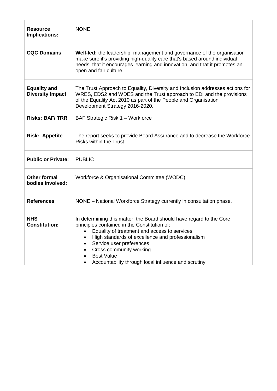| <b>Resource</b><br>Implications:               | <b>NONE</b>                                                                                                                                                                                                                                                                                                                                                 |
|------------------------------------------------|-------------------------------------------------------------------------------------------------------------------------------------------------------------------------------------------------------------------------------------------------------------------------------------------------------------------------------------------------------------|
| <b>CQC Domains</b>                             | Well-led: the leadership, management and governance of the organisation<br>make sure it's providing high-quality care that's based around individual<br>needs, that it encourages learning and innovation, and that it promotes an<br>open and fair culture.                                                                                                |
| <b>Equality and</b><br><b>Diversity Impact</b> | The Trust Approach to Equality, Diversity and Inclusion addresses actions for<br>WRES, EDS2 and WDES and the Trust approach to EDI and the provisions<br>of the Equality Act 2010 as part of the People and Organisation<br>Development Strategy 2016-2020.                                                                                                 |
| <b>Risks: BAF/TRR</b>                          | BAF Strategic Risk 1 - Workforce                                                                                                                                                                                                                                                                                                                            |
| <b>Risk: Appetite</b>                          | The report seeks to provide Board Assurance and to decrease the Workforce<br>Risks within the Trust.                                                                                                                                                                                                                                                        |
| <b>Public or Private:</b>                      | <b>PUBLIC</b>                                                                                                                                                                                                                                                                                                                                               |
| <b>Other formal</b><br>bodies involved:        | Workforce & Organisational Committee (WODC)                                                                                                                                                                                                                                                                                                                 |
| <b>References</b>                              | NONE - National Workforce Strategy currently in consultation phase.                                                                                                                                                                                                                                                                                         |
| <b>NHS</b><br><b>Constitution:</b>             | In determining this matter, the Board should have regard to the Core<br>principles contained in the Constitution of:<br>Equality of treatment and access to services<br>High standards of excellence and professionalism<br>Service user preferences<br>Cross community working<br><b>Best Value</b><br>Accountability through local influence and scrutiny |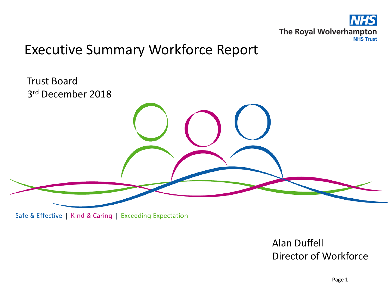

## Executive Summary Workforce Report

Trust Board 3rd December 2018

Safe & Effective | Kind & Caring | Exceeding Expectation

Alan Duffell Director of Workforce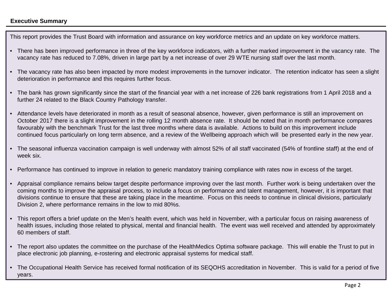### **Executive Summary**

This report provides the Trust Board with information and assurance on key workforce metrics and an update on key workforce matters.

- There has been improved performance in three of the key workforce indicators, with a further marked improvement in the vacancy rate. The vacancy rate has reduced to 7.08%, driven in large part by a net increase of over 29 WTE nursing staff over the last month.
- The vacancy rate has also been impacted by more modest improvements in the turnover indicator. The retention indicator has seen a slight deterioration in performance and this requires further focus.
- The bank has grown significantly since the start of the financial year with a net increase of 226 bank registrations from 1 April 2018 and a further 24 related to the Black Country Pathology transfer.
- Attendance levels have deteriorated in month as a result of seasonal absence, however, given performance is still an improvement on October 2017 there is a slight improvement in the rolling 12 month absence rate. It should be noted that in month performance compares favourably with the benchmark Trust for the last three months where data is available. Actions to build on this improvement include continued focus particularly on long term absence, and a review of the Wellbeing approach which will be presented early in the new year.
- The seasonal influenza vaccination campaign is well underway with almost 52% of all staff vaccinated (54% of frontline staff) at the end of week six.
- Performance has continued to improve in relation to generic mandatory training compliance with rates now in excess of the target.
- Appraisal compliance remains below target despite performance improving over the last month. Further work is being undertaken over the coming months to improve the appraisal process, to include a focus on performance and talent management, however, it is important that divisions continue to ensure that these are taking place in the meantime. Focus on this needs to continue in clinical divisions, particularly Division 2, where performance remains in the low to mid 80%s.
- This report offers a brief update on the Men's health event, which was held in November, with a particular focus on raising awareness of health issues, including those related to physical, mental and financial health. The event was well received and attended by approximately 60 members of staff.
- The report also updates the committee on the purchase of the HealthMedics Optima software package. This will enable the Trust to put in place electronic job planning, e-rostering and electronic appraisal systems for medical staff.
- The Occupational Health Service has received formal notification of its SEQOHS accreditation in November. This is valid for a period of five years.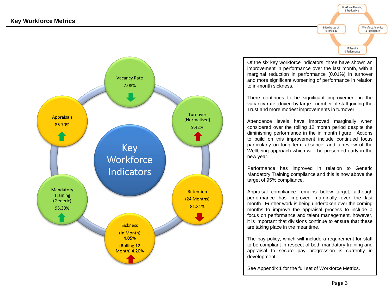



Of the six key workforce indicators, three have shown an improvement in performance over the last month, with a marginal reduction in performance (0.01%) in turnover and more significant worsening of performance in relation to in-month sickness.

There continues to be significant improvement in the vacancy rate, driven by large i number of staff joining the Trust and more modest improvements in turnover.

Attendance levels have improved marginally when considered over the rolling 12 month period despite the diminishing performance in the in month figure. Actions to build on this improvement include continued focus particularly on long term absence, and a review of the Wellbeing approach which will be presented early in the new year.

Performance has improved in relation to Generic Mandatory Training compliance and this is now above the target of 95% compliance.

Appraisal compliance remains below target, although performance has improved marginally over the last month. Further work is being undertaken over the coming months to improve the appraisal process to include a focus on performance and talent management, however, it is important that divisions continue to ensure that these are taking place in the meantime.

The pay policy, which will include a requirement for staff to be compliant in respect of both mandatory training and appraisal to secure pay progression is currently in development.

See Appendix 1 for the full set of Workforce Metrics.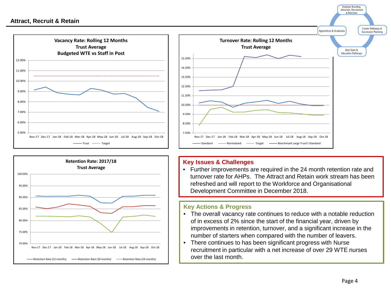





• Further improvements are required in the 24 month retention rate and turnover rate for AHPs. The Attract and Retain work stream has been refreshed and will report to the Workforce and Organisational Development Committee in December 2018.

- The overall vacancy rate continues to reduce with a notable reduction of in excess of 2% since the start of the financial year, driven by improvements in retention, turnover, and a significant increase in the number of starters when compared with the number of leavers.
- There continues to has been significant progress with Nurse recruitment in particular with a net increase of over 29 WTE nurses over the last month.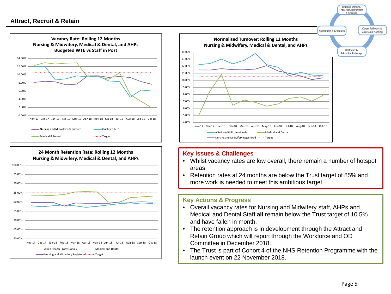





- Whilst vacancy rates are low overall, there remain a number of hotspot areas.
- Retention rates at 24 months are below the Trust target of 85% and more work is needed to meet this ambitious target.

- Overall vacancy rates for Nursing and Midwifery staff, AHPs and Medical and Dental Staff **all** remain below the Trust target of 10.5% and have fallen in month.
- The retention approach is in development through the Attract and Retain Group which will report through the Workforce and OD Committee in December 2018.
- The Trust is part of Cohort 4 of the NHS Retention Programme with the launch event on 22 November 2018.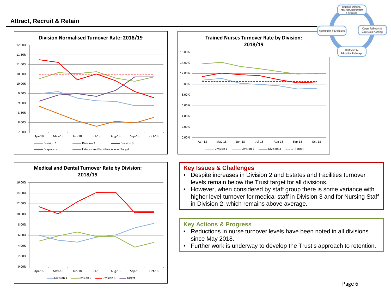





- Despite increases in Division 2 and Estates and Facilities turnover levels remain below the Trust target for all divisions.
- However, when considered by staff group there is some variance with higher level turnover for medical staff in Division 3 and for Nursing Staff in Division 2, which remains above average.

- Reductions in nurse turnover levels have been noted in all divisions since May 2018.
- Further work is underway to develop the Trust's approach to retention.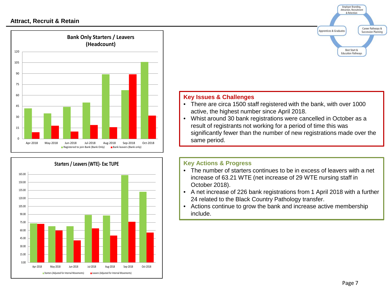



## **Employer Branding,** Attraction, Recruitment & Retention Career Pathways & Apprentices & Graduates **Succession Planning** Best Start & **Education Pathways Key Issues & Challenges** • There are circa 1500 staff registered with the bank, with over 1000 active, the highest number since April 2018.

• Whist around 30 bank registrations were cancelled in October as a result of registrants not working for a period of time this was significantly fewer than the number of new registrations made over the same period.

- The number of starters continues to be in excess of leavers with a net increase of 63.21 WTE (net increase of 29 WTE nursing staff in October 2018).
- A net increase of 226 bank registrations from 1 April 2018 with a further 24 related to the Black Country Pathology transfer.
- Actions continue to grow the bank and increase active membership include.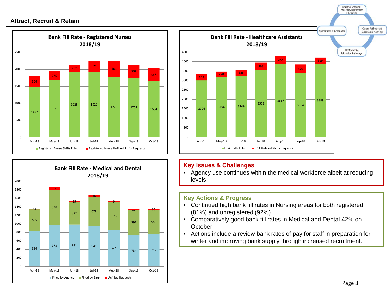





• Agency use continues within the medical workforce albeit at reducing levels

- Continued high bank fill rates in Nursing areas for both registered (81%) and unregistered (92%).
- Comparatively good bank fill rates in Medical and Dental 42% on October.
- Actions include a review bank rates of pay for staff in preparation for winter and improving bank supply through increased recruitment.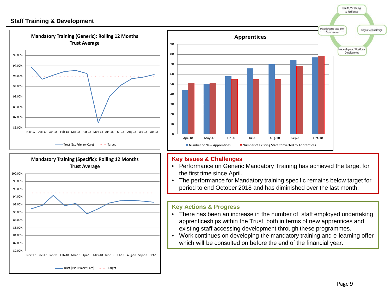### **Staff Training & Development**







### **Key Issues & Challenges**

- Performance on Generic Mandatory Training has achieved the target for the first time since April.
- The performance for Mandatory training specific remains below target for period to end October 2018 and has diminished over the last month.

## **Key Actions & Progress**

- There has been an increase in the number of staff employed undertaking apprenticeships within the Trust, both in terms of new apprentices and existing staff accessing development through these programmes.
- Work continues on developing the mandatory training and e-learning offer which will be consulted on before the end of the financial year.

Health, Wellbeing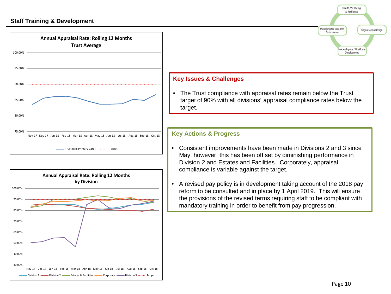



## Health, Wellbeing & Resilience Managing for Excellent Organisation Design Performance eadership and Workforce Development

## **Key Issues & Challenges**

• The Trust compliance with appraisal rates remain below the Trust target of 90% with all divisions' appraisal compliance rates below the target.

- Consistent improvements have been made in Divisions 2 and 3 since May, however, this has been off set by diminishing performance in Division 2 and Estates and Facilities. Corporately, appraisal compliance is variable against the target.
- A revised pay policy is in development taking account of the 2018 pay reform to be consulted and in place by 1 April 2019. This will ensure the provisions of the revised terms requiring staff to be compliant with mandatory training in order to benefit from pay progression.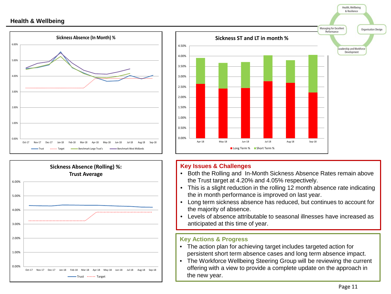





- Both the Rolling and In-Month Sickness Absence Rates remain above the Trust target at 4.20% and 4.05% respectively.
- This is a slight reduction in the rolling 12 month absence rate indicating the in month performance is improved on last year.
- Long term sickness absence has reduced, but continues to account for the majority of absence.
- Levels of absence attributable to seasonal illnesses have increased as anticipated at this time of year.

- The action plan for achieving target includes targeted action for persistent short term absence cases and long term absence impact.
- The Workforce Wellbeing Steering Group will be reviewing the current offering with a view to provide a complete update on the approach in the new year.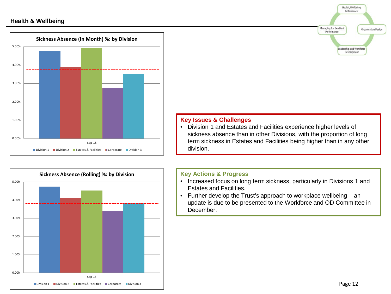



## Health, Wellbeing & Resilience Managing for Excellent Organisation Design Performance Leadership and Workforce Development **Key Issues & Challenges**

• Division 1 and Estates and Facilities experience higher levels of sickness absence than in other Divisions, with the proportion of long term sickness in Estates and Facilities being higher than in any other division.

- Increased focus on long term sickness, particularly in Divisions 1 and Estates and Facilities.
- Further develop the Trust's approach to workplace wellbeing an update is due to be presented to the Workforce and OD Committee in December.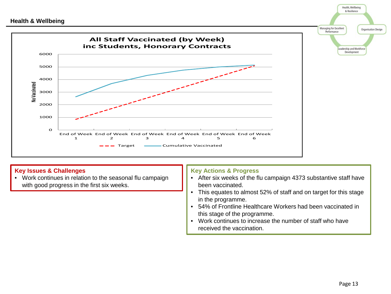

• Work continues in relation to the seasonal flu campaign with good progress in the first six weeks.

## **Key Actions & Progress**

- After six weeks of the flu campaign 4373 substantive staff have been vaccinated.
- This equates to almost 52% of staff and on target for this stage in the programme.
- 54% of Frontline Healthcare Workers had been vaccinated in this stage of the programme.
- Work continues to increase the number of staff who have received the vaccination.

Health, Wellbeing & Resilience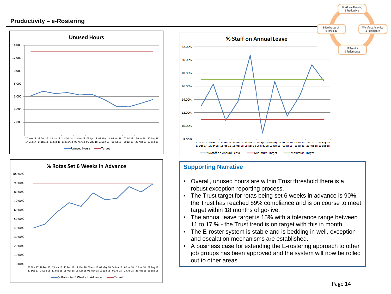### **Productivity – e-Rostering**







## **Supporting Narrative**

- Overall, unused hours are within Trust threshold there is a robust exception reporting process.
- The Trust target for rotas being set 6 weeks in advance is 90%, the Trust has reached 89% compliance and is on course to meet target within 18 months of go-live.
- The annual leave target is 15% with a tolerance range between 11 to 17 % - the Trust trend is on target with this in month.
- The E-roster system is stable and is bedding in well, exception and escalation mechanisms are established.
- A business case for extending the E-rostering approach to other job groups has been approved and the system will now be rolled out to other areas.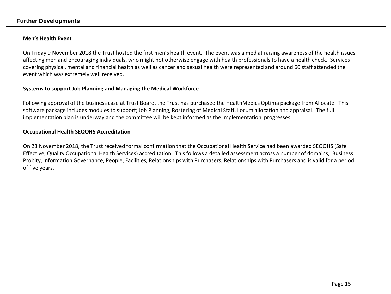#### **Further Developments**

#### **Men's Health Event**

On Friday 9 November 2018 the Trust hosted the first men's health event. The event was aimed at raising awareness of the health issues affecting men and encouraging individuals, who might not otherwise engage with health professionals to have a health check. Services covering physical, mental and financial health as well as cancer and sexual health were represented and around 60 staff attended the event which was extremely well received.

#### **Systems to support Job Planning and Managing the Medical Workforce**

Following approval of the business case at Trust Board, the Trust has purchased the HealthMedics Optima package from Allocate. This software package includes modules to support; Job Planning, Rostering of Medical Staff, Locum allocation and appraisal. The full implementation plan is underway and the committee will be kept informed as the implementation progresses.

#### **Occupational Health SEQOHS Accreditation**

On 23 November 2018, the Trust received formal confirmation that the Occupational Health Service had been awarded SEQOHS (Safe Effective, Quality Occupational Health Services) accreditation. This follows a detailed assessment across a number of domains; Business Probity, Information Governance, People, Facilities, Relationships with Purchasers, Relationships with Purchasers and is valid for a period of five years.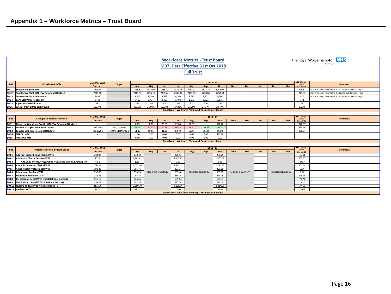|              |                                                                           |               |                     |             |         |                           |            | <b>Full Trust</b> | <b>Workforce Metrics - Trust Board</b><br>M07: Data Effective 31st Oct 2018 |          |                           |            |                            |                           |       |                   | The Royal Wolverhampton NHS<br><b>NHS Trust</b>        |
|--------------|---------------------------------------------------------------------------|---------------|---------------------|-------------|---------|---------------------------|------------|-------------------|-----------------------------------------------------------------------------|----------|---------------------------|------------|----------------------------|---------------------------|-------|-------------------|--------------------------------------------------------|
| <b>B01</b>   | $2018 - 19$<br>31st Mar 2018<br><b>Workforce Profile</b><br><b>Target</b> |               |                     |             |         |                           |            |                   |                                                                             |          |                           |            | <b>YTD Change</b><br>since | <b>Comments</b>           |       |                   |                                                        |
|              |                                                                           | Out-turn      |                     | Apr         | May     | Jun                       | Jul        | Aug               | Sep                                                                         | Oct      | <b>Nov</b>                | <b>Dec</b> | Jan                        | Feb                       | Mar   | 31st Mar 18       |                                                        |
| <b>B01.1</b> | <b>Substantive Staff WTE</b>                                              | 7328.40       |                     | 7328.30     | 7333.07 | 7358.72                   | 7381.57    | 7437.92           | 7527.25                                                                     | 8054.97  |                           |            |                            |                           |       | 726.57            | tc Permanent, Fixed Term, & Locums with WTE on Payroll |
| <b>B01.2</b> | <b>Substantive Staff WTE (Exc Rotational Doctors)</b>                     | 7045.16       |                     | 7046.05     | 7054.18 | 7080.74                   | 7105.99    | 7143.53           | 7230.86                                                                     | 7758.53  |                           |            |                            |                           |       | 713.37            | nc Permanent, Fixed Term, & Locums: Exc Rotational Drs |
| <b>B01.3</b> | <b>Substantive Staff Headcount</b>                                        | 8484          |                     | 8.504       | 8.509   | 8,532                     | 8,563      | 8.610             | 8,722                                                                       | 9,304    |                           |            |                            |                           |       | 820               | nc Permanent, Fixed Term, & Locums with WTE on Payroll |
| <b>B01.4</b> | <b>Bank Staff Only Headcount</b>                                          | 1442          |                     | 1,419       | 1.437   | 1,457                     | 1,494      | 1,573             | 1,521                                                                       | 1,616    |                           |            |                            |                           |       | 174               |                                                        |
| <b>B01.5</b> | <b>Agency LMS Headcount</b>                                               | 181           |                     | 186         | 195     | 205                       | 209        | 213               | 226                                                                         | 250      |                           |            |                            |                           |       | 69                |                                                        |
| <b>BO1.6</b> | % Staff from a BME background                                             | 26.74%        |                     | 26.89%      | 26.99%  | 27.04%                    | 27.22%     | 27.20%            | 27.17%                                                                      | 28.47%   |                           |            |                            |                           |       | 1.73%             |                                                        |
|              |                                                                           |               |                     |             |         |                           |            |                   | Data Owner: Workforce Planning & Business Intelligence                      |          |                           |            |                            |                           |       |                   |                                                        |
|              |                                                                           |               |                     |             |         |                           |            |                   |                                                                             |          |                           |            |                            |                           |       | <b>YTD Change</b> |                                                        |
| <b>B02</b>   | <b>Changes to Workforce Profile</b>                                       | 31st Mar 2018 | <b>Target</b>       | $2018 - 19$ |         |                           |            |                   |                                                                             |          |                           |            |                            |                           |       | since             | <b>Comments</b>                                        |
|              |                                                                           | Out-turn      |                     | Apr         | May     | Jun                       | Jul        | Aug               | Sep                                                                         | Oct      | <b>Nov</b>                | <b>Dec</b> | Jan                        | Feb                       | Mar   | 31st Mar 18       |                                                        |
| <b>B02.1</b> | Change in Workforce Profile WTE (Exc Rotational Doctors)                  |               |                     | 0.89        | 4.76    | 25.65                     | 22.85      | 56.35             |                                                                             | 527.72   |                           |            |                            |                           |       | 726.57            |                                                        |
| <b>BO2.2</b> | <b>Starters WTE (Exc Rotational Doctors)</b>                              | 1029.4903     | 10% > Leavers       | 73.15       | 43.57   | 60.55                     | 66.73      | 66.91             | 123.83                                                                      | 119.21   |                           |            |                            |                           |       | 553.96            |                                                        |
| <b>B02.3</b> | <b>Leavers WTE (Exc Rotational Doctors)</b>                               | 740.15204     | > 10.5% Staff Group | 61.30       | 59.81   | 41.35                     | 63.79      | 50.41             | 76.18                                                                       | 56.00    |                           |            |                            |                           |       | 408.84            |                                                        |
| <b>B02.4</b> | TUPE In WTE                                                               | $\sim$        |                     | 1.00        | 0.00    | 0.00                      | 0.00       | 0.00              | 0.00                                                                        | 443.70   |                           |            |                            |                           |       |                   |                                                        |
| <b>B02.5</b> | TUPE Out WTE                                                              | $\sim$        |                     | 0.00        | 0.00    | 0.00                      | 0.00       | 0.00              | 0.00                                                                        | 0.00     |                           |            |                            |                           |       | $\sim$            |                                                        |
|              |                                                                           |               |                     |             |         |                           |            |                   | Data Owner: Workforce Planning & Business Intelligence                      |          |                           |            |                            |                           |       |                   |                                                        |
|              |                                                                           |               |                     |             |         |                           |            |                   |                                                                             |          |                           |            |                            |                           |       | <b>YTD Change</b> |                                                        |
| <b>B03</b>   | <b>Workforce Profile by Staff Group</b>                                   | 31st Mar 2018 | <b>Target</b>       |             |         |                           |            |                   | $2018 - 19$                                                                 |          |                           |            |                            |                           | since | <b>Comments</b>   |                                                        |
|              |                                                                           | Out-turn      |                     | Apr         | May     | Jun                       | <b>Jul</b> | Aug               | Sep                                                                         | Oct      | <b>Nov</b>                | <b>Dec</b> | Jan                        | Feb                       | Mar   | 31st Mar 18       |                                                        |
| <b>B03.1</b> | Add Prof Scientific and Technic WTE                                       | 234.82        |                     | 240.49      |         |                           | 270.43     |                   |                                                                             | 281.25   |                           |            |                            |                           |       | 46.43             |                                                        |
| <b>B03.2</b> | <b>Additional Clinical Services WTE</b>                                   | 1252.91       |                     | 1,262.82    |         |                           | 1,255.12   |                   |                                                                             | 1,460.68 |                           |            |                            |                           |       | 207.77            |                                                        |
| <b>B03.3</b> | Add Clin Serv: Newly Qualified / Overseas Nurses Awaiting PIN             | 6.53          |                     | 6.53        |         |                           | 0.80       |                   |                                                                             | 6.36     |                           |            |                            |                           |       | $-0.17$           |                                                        |
| <b>B03.4</b> | <b>Administrative and Clerical WTE</b>                                    | 1624.38       |                     | 1,631.05    |         |                           | 1,646.41   |                   |                                                                             | 1,726.43 |                           |            |                            |                           |       | 102.04            |                                                        |
| <b>B03.5</b> | Allied Health Professionals WTE                                           | 391.26        |                     | 385.76      |         |                           | 391.04     |                   |                                                                             | 401.10   |                           |            |                            |                           |       | 9.84              |                                                        |
| <b>B03.6</b> | <b>Estates and Ancillary WTE</b>                                          | 552.00        |                     | 554.55      |         | <b>Reported Quarterly</b> | 557.46     |                   | <b>Reported Quarterly</b>                                                   | 561.92   | <b>Reported Quarterly</b> |            |                            | <b>Reported Quarterly</b> |       | 9.92              |                                                        |
| <b>B03.7</b> | <b>Healthcare Scientists WTE</b>                                          | 254.84        |                     | 255.23      |         |                           | 264.04     |                   |                                                                             | 479.29   |                           |            |                            |                           |       | 224.45            |                                                        |
| <b>B03.8</b> | Medical and Dental WTE (Exc Rotational Doctors)                           | 526.19        |                     | 524.45      |         |                           | 535.64     |                   |                                                                             | 605.97   |                           |            |                            |                           |       | 79.79             |                                                        |
| <b>B03.9</b> | Medical and Dental WTE (Rotational Doctors)                               | 283.24        |                     | 282.26      |         |                           | 275.58     |                   |                                                                             | 296.44   |                           |            |                            |                           |       | 13.20             |                                                        |
|              | <b>B03.10 Nursing and Midwifery Registered WTE</b>                        | 2177.76       |                     | 2.160.70    |         |                           | 2.158.84   |                   |                                                                             | 2.214.95 |                           |            |                            |                           |       | 37.19             |                                                        |
|              | <b>B03.11 Students WTE</b>                                                | 31.00         |                     | 31.00       |         |                           | 27.00      |                   |                                                                             | 26.93    |                           |            |                            |                           |       | $-4.08$           |                                                        |
|              |                                                                           |               |                     |             |         |                           |            |                   | Data Owner: Workforce Planning & Business Intelligence                      |          |                           |            |                            |                           |       |                   |                                                        |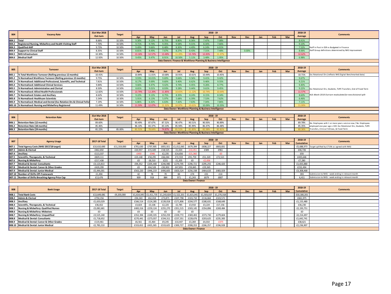| <b>B04</b>                                                        | <b>Vacancy Rate</b>                                                     | 31st Mar 2018<br>Out-turn | <b>Target</b> |              |              |              |              |                                        | $2018 - 19$                                            |              |            |       |     |     |     | 2018-19<br>Average | <b>Comments</b>                                                                                      |  |  |  |
|-------------------------------------------------------------------|-------------------------------------------------------------------------|---------------------------|---------------|--------------|--------------|--------------|--------------|----------------------------------------|--------------------------------------------------------|--------------|------------|-------|-----|-----|-----|--------------------|------------------------------------------------------------------------------------------------------|--|--|--|
|                                                                   |                                                                         |                           | 10.50%        | Apr<br>9.30% | May<br>9.12% | Jun<br>8.75% | Jul<br>8.80% | Aug<br>8.36%                           | Sep<br>7.47%                                           | Oct<br>7.08% | <b>Nov</b> | Dec   | Jan | Feb | Mar | 8.41%              |                                                                                                      |  |  |  |
| B04.1<br>B04.2                                                    | <b>Total</b><br>Registered Nursing, Midwifery and Health Visiting Staff | 8.66%<br>7.70%            | 10.50%        | 9.71%        | 9.74%        | 9.35%        | 9.58%        | 9.31%                                  | 8.34%                                                  | 7.66%        |            |       |     |     |     | 9.10%              |                                                                                                      |  |  |  |
| <b>B04.3</b>                                                      | <b>Qualified AHP</b>                                                    | 9.73%                     | 10.50%        | 9.49%        | 9.66%        | 8.48%        | 8.30%        | 4.49%                                  | 6.24%                                                  | 6.01%        |            |       |     |     |     | 7.52%              |                                                                                                      |  |  |  |
| <b>B04.4</b>                                                      | <b>Support to Clinical Staff</b>                                        | 8.35%                     | 10.50%        | 8.81%        | 8.49%        | 7.67%        | 8.27%        | 8.43%                                  | 7.31%                                                  | 7.48%        |            | 0.00% |     |     |     | 8.06%              | Staff in Post in ESR vs Budgeted in Finance<br>Staff Group definitions determined by NHS Improvement |  |  |  |
| <b>B04.5</b>                                                      |                                                                         | 10.30%                    | 10.50%        | 13.16%       | 12.57%       | 13.48%       | 11.20        | 13.74%                                 | 12.83%                                                 | 11.37%       |            |       |     |     |     | 12.62%             |                                                                                                      |  |  |  |
|                                                                   | <b>NHS Infrastructure</b>                                               |                           |               |              |              |              |              |                                        |                                                        |              |            |       |     |     |     |                    |                                                                                                      |  |  |  |
| <b>BO4.6</b>                                                      | <b>Medical Staff</b>                                                    | 12.92%                    | 10.50%        | 9.45%        | 9.47%        | 8.91%        | 10.50%       | 5.11%                                  | 3.48%                                                  | 1.95%        |            |       |     |     |     | 6.98%              |                                                                                                      |  |  |  |
| Data Owners: Finance & Workforce Planning & Business Intelligence |                                                                         |                           |               |              |              |              |              |                                        |                                                        |              |            |       |     |     |     |                    |                                                                                                      |  |  |  |
|                                                                   |                                                                         |                           |               |              |              |              |              |                                        |                                                        |              |            |       |     |     |     |                    |                                                                                                      |  |  |  |
| <b>B05</b>                                                        | <b>Turnover</b>                                                         | 31st Mar 2018             | <b>Target</b> |              |              |              |              |                                        | $2018 - 19$                                            |              |            |       |     |     |     | 2018-19            | Comments                                                                                             |  |  |  |
|                                                                   |                                                                         | Out-turn                  |               | Apr          | May          | Jun          | Jul          | Aug                                    | Sep                                                    | Oct          | <b>Nov</b> | Dec   | Jan | Feb | Mar | Average            |                                                                                                      |  |  |  |
| <b>B05.1</b>                                                      | % Total Workforce Turnover (Rolling previous 12 months)                 | 10.41%                    |               | 10.84%       | 11.01%       | 10.68%       | 10.91%       | 10.61%                                 | 10.44%                                                 | 10.45%       |            |       |     |     |     | 10.71%             | Exc Rotational Drs (reflects NHS Digital Benchmarked data)                                           |  |  |  |
| <b>B05.2</b>                                                      | % Normalised Workforce Turnover (Rolling previous 12 months)            | 9.75%                     | 10.50%        | 9.93%        | 10.01%       | 9.69%        | 9.66%        | 9.56%                                  | 9.41%                                                  | 9.42%        |            |       |     |     |     | 9.67%              |                                                                                                      |  |  |  |
| <b>B05.3</b>                                                      | 6 Normalised: Additional Professional, Scientific, and Technical        | 7.81%                     | 10.50%        | 8.17%        | 9.69%        | 9.60%        | 9.40%        | 8.62%                                  | 9.46%                                                  | 9.55%        |            |       |     |     |     | 9.21%              |                                                                                                      |  |  |  |
| <b>B05.4</b>                                                      | <b>6 Normalised: Additional Clinical Services</b>                       | 9.84%                     | 10.50%        | 9.66%        | 9.47%        | 9.42%        | 9.74%        | 9.45%                                  | 9.26%                                                  | 8.77%        |            |       |     |     |     | 9.40%              |                                                                                                      |  |  |  |
| <b>B05.5</b>                                                      | % Normalised: Administrative and Clerical                               | 8.50%                     | 10.50%        | 8.81%        | 9.01%        | 8.93%        | 9.28%        | 9.44%                                  | 9.61%                                                  | 9.45%        |            |       |     |     |     | 9.22%              | Exc Rotational Drs, Students, TUPE Transfers, End of Fixed Term                                      |  |  |  |
| <b>B05.6</b>                                                      | <b>6 Normalised: Allied Health Professionals</b>                        | 12.82%                    | 10.50%        | 13.79%       | 12.20%       | 11.85%       | 10.65        | 11.12%                                 | 10.74%                                                 | 10.64%       |            |       |     |     |     | 11.57%             |                                                                                                      |  |  |  |
| <b>B05.7</b>                                                      | % Normalised: Estates and Ancillary                                     | 8.62%                     | 10.50%        | 9.22%        | 9.13%        | 8.75%        | 8.35%        | 8.24%                                  | 8.15%                                                  | 8.34%        |            |       |     |     |     | 8.60%              | N.B. March 2018 Out-turn recalculated for new divisional split                                       |  |  |  |
| <b>B05.8</b>                                                      | % Normalised: Healthcare Scientists                                     | 5.54%                     | 10.50%        | 5.91%        | 6.13%        | 5.97%        | 5.68%        | 6.39%                                  | 7.53%                                                  | 7.62%        |            |       |     |     |     | 6.46%              |                                                                                                      |  |  |  |
| <b>BO5.9</b>                                                      | % Normalised: Medical and Dental (Exc Rotation Drs & Clinical Fello     | 7.19%                     | 10.50%        | 6.86%        | 6.32%        | 6.63%        | 7.42%        | 7.63%                                  | 7.04%                                                  | 7.86%        |            |       |     |     |     | 7.11%              |                                                                                                      |  |  |  |
|                                                                   | B05.10 % Normalised: Nursing and Midwifery Registered                   | 11.49%                    | 10.50%        | 11.59%       | 12.07%       | 11 329       | 10.97        | 10.619                                 | 10.09%                                                 | 10.35%       |            |       |     |     |     | 11.00%             |                                                                                                      |  |  |  |
|                                                                   |                                                                         |                           |               |              |              |              |              |                                        | Data Owner: Workforce Planning & Business Intelligence |              |            |       |     |     |     |                    |                                                                                                      |  |  |  |
|                                                                   |                                                                         |                           |               |              |              |              |              |                                        |                                                        |              |            |       |     |     |     |                    |                                                                                                      |  |  |  |
| <b>B06</b>                                                        | <b>Retention Rate</b>                                                   | 31st Mar 2018             | <b>Target</b> |              |              |              |              |                                        | $2018 - 19$                                            |              |            |       |     |     |     | 2018-19            | <b>Comments</b>                                                                                      |  |  |  |
|                                                                   |                                                                         | Out-turn                  |               | Apr          | May          | Jun          | Jul          | Aug                                    | Sep                                                    | Oct          | <b>Nov</b> | Dec   | Jan | Feb | Mar | Average            |                                                                                                      |  |  |  |
| B06.1                                                             | <b>Retention Rate (12 months)</b>                                       | 89.60%                    |               | 90.49%       | 87.67%       | 87.52%       | 90.47%       | 90.51%                                 | 90.93%                                                 | 90.89%       |            |       |     |     |     | 89.78%             | No. Employees with 1 or more years service now / No. Employees                                       |  |  |  |
| B06.2                                                             | Retention Rate (18 months)                                              | 85.46%                    |               | 86.10%       | 83.37%       | 83.10%       | 85.94%       | 85.99%                                 | 86.47%                                                 | 86.48%       |            |       |     |     |     | 85.35%             | employed one year ago x 100. Exc Rotational Drs, Students, TUPE                                      |  |  |  |
| <b>B06.3</b>                                                      | <b>Retention Rate (24 months)</b>                                       | 81.22%                    | 85.00%        | 81.519       | 78.649       | 74.87%       | 81.5         | 81.839                                 |                                                        | 81.819       |            |       |     |     |     | 80.36%             | Transfers, Clinical Fellows, & Fixed Term                                                            |  |  |  |
|                                                                   | Data Owner: Workforce Planning & Business Intelligence                  |                           |               |              |              |              |              |                                        |                                                        |              |            |       |     |     |     |                    |                                                                                                      |  |  |  |
|                                                                   |                                                                         |                           |               |              |              |              |              |                                        |                                                        |              |            |       |     |     |     |                    |                                                                                                      |  |  |  |
|                                                                   |                                                                         |                           |               |              |              |              |              |                                        |                                                        |              |            |       |     |     |     |                    |                                                                                                      |  |  |  |
|                                                                   |                                                                         |                           |               |              |              |              |              |                                        | $2018 - 19$                                            |              |            |       |     |     |     | 2018-19            |                                                                                                      |  |  |  |
| <b>B07</b>                                                        | <b>Agency Usage</b>                                                     | 2017-18 Total             | <b>Target</b> | Apr          | May          | Jun          | Jul          | Aug                                    | Sep                                                    | Oct          | <b>Nov</b> | Dec   | Jan | Feb | Mar | <b>Cumulative</b>  | <b>Comments</b>                                                                                      |  |  |  |
| <b>B07.1</b>                                                      | Total Agency Costs (NHSi 2017/18 target)                                | £10,610,690               | £11,319,000   | £701,630     | £797,905     | £855,921     | £1,012,065   | £679,394                               | £838,227                                               | £803,831     |            |       |     |     |     | £5,688,973         | Target uplifted by £719k as agreed with NHSi                                                         |  |  |  |
| <b>B07.3</b>                                                      | <b>Admin &amp; Clerical</b>                                             | £462,692                  |               | £20,937      | £15,420      | £18,525      | £1,024       | $-£10,451$                             | £309                                                   | £961         |            |       |     |     |     | £46,726            |                                                                                                      |  |  |  |
| <b>BO7.4</b>                                                      | Ancillary                                                               | £113.337                  |               | $-E493$      | $-E946$      | £2,235       | £14.656      | $-£15,360$                             |                                                        | $-EO$        |            |       |     |     |     | £93                |                                                                                                      |  |  |  |
| <b>B07.5</b>                                                      | Scientific, Therapeutic, & Technical                                    | £829,111                  |               | £23,148      | £58,295      | £66,044      | £72,559      | £91,759                                | £51,320                                                | £72,521      |            |       |     |     |     | £435,646           |                                                                                                      |  |  |  |
| <b>B07.6</b>                                                      | <b>Nursing &amp; Midwifery</b>                                          | £217,438                  |               | £0           | £8.510       | £221         | £1.205       | £0                                     | $-E2.656$                                              |              |            |       |     |     |     | £7,280             |                                                                                                      |  |  |  |
| <b>B07.7</b>                                                      | <b>Medical &amp; Dental: Consultants</b>                                | £3,123,813                |               | £94,352      | £205,448     | £246,980     | £270,705     | £296,721                               | £295,255                                               | £246,420     |            |       |     |     |     | £1.655.880         |                                                                                                      |  |  |  |
| <b>B07.8</b>                                                      | Medical & Dental: Career & Other Grades                                 | £420,299                  |               | £0           | £64.528      | £30.902      | £47.855      | £59.845                                | £29.365                                                |              |            |       |     |     |     | £232.494           |                                                                                                      |  |  |  |
| B07.9                                                             | Medical & Dental: Junior Medical                                        | £5,444,001                |               | £563,220     | £446,219     | £490,605     | £603,524     | £256,338                               | £464,633                                               | £483,929     |            |       |     |     |     | £3,308,468         |                                                                                                      |  |  |  |
| B07.10                                                            | <b>Number of Shifts Off-Framework</b>                                   | £1.494                    |               | 42           | 78           | 70           | 84           | £74                                    | £31                                                    | £14          |            |       |     |     |     | 393                | Submission to NHSi - week ending in relevant month                                                   |  |  |  |
|                                                                   | B07.11 Number of Shifts Breaching Agency Price Cap                      | £13,476                   |               | 909          | 918          | 884          | 971          | £1,243                                 | £679                                                   | £807         |            |       |     |     |     | 6,411              | Submission to NHSi - week ending in relevant month                                                   |  |  |  |
|                                                                   |                                                                         |                           |               |              |              |              |              | <b>Data Owner: Finance</b>             |                                                        |              |            |       |     |     |     |                    |                                                                                                      |  |  |  |
|                                                                   |                                                                         |                           |               |              |              |              |              |                                        |                                                        |              |            |       |     |     |     |                    |                                                                                                      |  |  |  |
|                                                                   |                                                                         |                           |               |              |              |              |              |                                        | $2018 - 19$                                            |              |            |       |     |     |     | 2018-19            |                                                                                                      |  |  |  |
| <b>B08</b>                                                        | <b>Bank Usage</b>                                                       | 2017-18 Total             | <b>Target</b> | Apr          | May          | Jun          | Jul          | Aug                                    | Sep                                                    | Oct          | <b>Nov</b> | Dec   | Jan | Feb | Mar | <b>Cumulative</b>  | <b>Comments</b>                                                                                      |  |  |  |
| B08.1                                                             | <b>Total Bank Costs</b>                                                 | £13,649,081               | £9,203,000    | £1,614,045   | £1,411,735   | £1,243,824   | £1,522,201   | £1,615,041                             | £1,503,037                                             | £1,270,318   |            |       |     |     |     | £10,180,201        |                                                                                                      |  |  |  |
| B08.2                                                             | <b>Admin &amp; Clerical</b>                                             | £750,156                  |               | £94,343      | £62.018      | £73.871      | £107.798     | £103.710                               | £116.664                                               | £103.571     |            |       |     |     |     | £661.975           |                                                                                                      |  |  |  |
| <b>B08.3</b>                                                      | Ancillary                                                               | £1,633,029                |               | £166,514     | £124,285     | £139,018     | £171,806     | £204,577                               | £180,631                                               | £168,649     |            |       |     |     |     | £1,155,480         |                                                                                                      |  |  |  |
| B08.4                                                             | Scientific, Therapeutic, & Technical                                    | £36,652                   |               | £3,824       | £3,106       | £2,225       | £2,785       | £3.910                                 | £3,224                                                 | £17,156      |            |       |     |     |     | £36,230            |                                                                                                      |  |  |  |
| <b>B08.5</b>                                                      | <b>Nursing &amp; Midwifery: Qualified Nurses</b>                        | £3,082,681                |               | £400,316     | £259,124     | £255,270     | £351,515     | £303,145                               | £354,896                                               | £269,484     |            |       |     |     |     | £2,193,751         |                                                                                                      |  |  |  |
| <b>B08.6</b>                                                      |                                                                         | £0                        |               | £0           | £0           | £0           | £0           | £0                                     |                                                        |              |            |       |     |     |     | £0                 |                                                                                                      |  |  |  |
|                                                                   | <b>Nursing &amp; Midwifery: Midwives</b>                                |                           |               |              |              |              |              |                                        |                                                        |              |            |       |     |     |     |                    |                                                                                                      |  |  |  |
| B08.7                                                             | Nursing & Midwifery: Unqualified                                        | £3,525,240                |               | £352,394     | £249,335     | £250,259     | £339,772     | £369,402                               | £373,730                                               | £279,604     |            |       |     |     |     | £2,214,497         |                                                                                                      |  |  |  |
| B08.8                                                             | <b>Medical &amp; Dental: Consultants</b>                                | £1.718.652                |               | £270.441     | £273.037     | £194.311     | £237.351     | £228.676                               | £203.625                                               | £235.300     |            |       |     |     |     | £1.642.741         |                                                                                                      |  |  |  |
| <b>BO8.9</b>                                                      | Medical & Dental: Career & Other Grades                                 | £119.461                  |               | £6.561       | £5,464       | £9,245       | £10.447      | £3.269                                 | £4.010                                                 | $-£375$      |            |       |     |     |     | £38.621            |                                                                                                      |  |  |  |
|                                                                   | B08.10 Medical & Dental: Junior Medical                                 | £2,783,210                |               | £319,652     | £435,365     | £319,625     | £300.727     | £398.353<br><b>Data Owner: Finance</b> | £266,257                                               | £196.928     |            |       |     |     |     | £2,236,907         |                                                                                                      |  |  |  |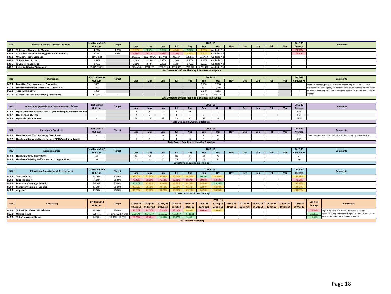| <b>B09</b>        | Sickness Absence (1 month in arrears)                           | <b>31st March 2018</b> | <b>Target</b>       |                |                |                         |                |                                |                                                        | $2018 - 19$      |            |                  |           |                        |           | 2018-19                |                 | <b>Comments</b>                                                                                     |  |
|-------------------|-----------------------------------------------------------------|------------------------|---------------------|----------------|----------------|-------------------------|----------------|--------------------------------|--------------------------------------------------------|------------------|------------|------------------|-----------|------------------------|-----------|------------------------|-----------------|-----------------------------------------------------------------------------------------------------|--|
|                   |                                                                 | Out-turn               |                     | Apr            | May            | Jun                     | Jul            | Aug                            | Sep                                                    | Oct              | <b>Nov</b> | <b>Dec</b>       | Jan       | Feb                    | Mar       | Average                |                 |                                                                                                     |  |
| B09.1             | % Sickness Absence (In Month)                                   | 4.20%                  | 3.85%               | 3.919          | 3.67%          | 3.70%                   | 4.04%          | 3.82%                          | 4.05%                                                  | Available N      |            |                  |           |                        |           | 23.19%                 |                 |                                                                                                     |  |
| <b>B09.2</b>      | % Sickness Absence (Rolling previous 12 months)                 | 4.35%                  | 3.85%               | 4.34%          | 4.31%          | 4.28%                   | 4.26%          | 4.21%                          | 4.20%                                                  | vailable No      |            |                  |           |                        |           | 25,60%                 |                 |                                                                                                     |  |
| B09.3             | <b>WTE Days lost to Sickness</b>                                | 114432.22              |                     | 8603.15        | 336240.009     | 8157.01                 | 9228.34        | 8768.15                        | 9117.19                                                | vailable No      |            |                  |           |                        |           |                        |                 |                                                                                                     |  |
| B09.4             | % Short Term Sickness                                           | 1.58%                  |                     | 1.26%          | 1.25%          | 1.26%                   | 1.26%          | 1.10%                          | 1.83%                                                  | vailable No      |            |                  |           |                        |           |                        |                 |                                                                                                     |  |
| <b>B09.5</b>      | % Long Term Sickness                                            | 2.76%                  |                     | 2.65%          | 2.42%          | 2.45%                   | 2.78%          | 2.70%                          | 2.23%                                                  | vailable No      |            |                  |           |                        |           |                        |                 |                                                                                                     |  |
| <b>B09.6</b>      | <b>Estimated Cost of Sickness (£)</b>                           | £9,225,854.51          |                     | £734,428       | £704,169       | £696,935                | £770,875       | £716.222                       | £769,422                                               | Available No     |            |                  |           |                        |           |                        |                 |                                                                                                     |  |
|                   |                                                                 |                        |                     |                |                |                         |                |                                | Data Owner: Workforce Planning & Business Intelligence |                  |            |                  |           |                        |           |                        |                 |                                                                                                     |  |
|                   |                                                                 |                        |                     |                |                |                         |                |                                |                                                        |                  |            |                  |           |                        |           |                        |                 |                                                                                                     |  |
|                   |                                                                 | 2017-18 Season         |                     |                |                |                         |                |                                |                                                        | $2018 - 19$      |            |                  |           |                        |           | 2018-19                |                 |                                                                                                     |  |
| <b>B10</b>        | <b>Flu Campaign</b>                                             | Out-turn               | <b>Target</b>       | Apr            | May            | Jun                     | Jul            | Aug                            | Sep                                                    | Oct              | Nov        | <b>Dec</b>       | Jan       | Feb                    | Mar       | Cumulative             |                 | <b>Comment:</b>                                                                                     |  |
| B10.1             | <b>Front Line Staff Vaccinated (Cumulative)</b>                 | 3828                   |                     |                |                |                         |                |                                | 1.698                                                  | 3,016            |            |                  |           |                        |           |                        |                 | Seasonal reporting only. Vaccination rate of employees on ESR only,                                 |  |
| B10.2             | Non Front Line Staff Vaccinated (Cumulative)                    | 1619                   |                     |                |                |                         |                |                                | 681                                                    | 1,235            |            |                  |           |                        |           | $\sim$                 |                 | excluding Students, Agency, Honorary Contracts. September figures based                             |  |
| <b>B10.3</b>      | Total (Cumulative)                                              | 5051                   |                     |                |                |                         |                |                                | 2.379                                                  | 4,251            |            |                  |           |                        |           | $\sim$                 |                 | on date of vaccination. October onwards data submitted to Public Health                             |  |
|                   | B10.4 % Front Line Staff Vaccinated (Cumulative)                | 61.73%                 |                     |                |                |                         |                |                                | 28.41%                                                 | 52.23%           |            |                  |           |                        |           | $\sim$                 | England.        |                                                                                                     |  |
|                   |                                                                 |                        |                     |                |                |                         |                |                                | Data Owner: Workforce Planning & Business Intelligence |                  |            |                  |           |                        |           |                        |                 |                                                                                                     |  |
|                   |                                                                 |                        |                     |                |                |                         |                |                                |                                                        |                  |            |                  |           |                        |           |                        |                 |                                                                                                     |  |
|                   |                                                                 | 31st Mar 18            |                     |                |                |                         |                |                                |                                                        | $2018 - 19$      |            |                  |           |                        |           | 2018-19                |                 |                                                                                                     |  |
| <b>B11</b>        | Open Employee Relations Cases - Number of Cases                 | Out-turn               | <b>Target</b>       | Apr            | May            | Jun                     | Jul            | Aug                            | Sep                                                    | Oct              | <b>Nov</b> | <b>Dec</b>       | Jan       | Feb                    | Mar       | Average                |                 | <b>Comments</b>                                                                                     |  |
| <b>B11.1</b>      | Open Formal Grievances Cases + Open Bullying & Harassment Cases |                        |                     | $\overline{7}$ | $\mathbf{R}$   | 8                       | 8              | $^{\circ}$                     |                                                        | $\overline{7}$   |            |                  |           |                        |           | 6.43                   |                 |                                                                                                     |  |
|                   |                                                                 |                        |                     | $\overline{2}$ | $\overline{2}$ | $\overline{2}$          | $\overline{1}$ | $\overline{1}$                 | $\overline{z}$                                         | $\overline{z}$   |            |                  |           |                        |           | 1.71                   |                 |                                                                                                     |  |
| <b>B11.2</b>      | <b>Open Capability Cases</b>                                    | $\sim$                 |                     |                |                |                         |                |                                |                                                        |                  |            |                  |           |                        |           |                        |                 |                                                                                                     |  |
|                   | <b>B11.3</b> Open Disciplinary Cases                            |                        |                     | 24             | 26             | 18                      | 23             | 26                             | 29                                                     | 29               |            |                  |           |                        |           | 25.00                  |                 |                                                                                                     |  |
|                   |                                                                 |                        |                     |                |                |                         |                |                                | <b>Data Owner: HR Employee Relations</b>               |                  |            |                  |           |                        |           |                        |                 |                                                                                                     |  |
|                   |                                                                 |                        |                     |                |                |                         |                |                                |                                                        |                  |            |                  |           |                        |           |                        |                 |                                                                                                     |  |
| <b>B12</b>        | Freedom to Speak Up                                             | 31st Mar 18            | <b>Target</b>       |                |                |                         |                |                                |                                                        | $2018 - 19$      |            |                  |           |                        |           | 2018-19                |                 | Comments                                                                                            |  |
|                   |                                                                 | Out-turn               |                     | Apr            | May            | Jun                     | Jul            | Aug                            | Sep                                                    | Oct              | Nov        | <b>Dec</b>       | Jan       | Feb                    | Mar       | Average                |                 |                                                                                                     |  |
| B12.1             | New Genuine Whistleblowing Cases Raised                         |                        |                     | $\mathbf{0}$   | $\overline{1}$ | $\mathbf{0}$            | $\overline{1}$ | $\overline{2}$                 | $\Omega$                                               | $\mathbf{0}$     |            |                  |           |                        |           | 0.57                   |                 | Cases reviewed and confirmed as Whistleblowing by FtSU Guardian                                     |  |
| <b>B12.2</b>      | Number of Concerns Raised through FTSU Guardian In Month        | $\sim$                 |                     | $\overline{1}$ | $\overline{1}$ | $\overline{\mathbf{3}}$ | $\overline{1}$ | $\Omega$                       | $\overline{7}$                                         | $\overline{A}$   |            |                  |           |                        |           | 2.43                   |                 |                                                                                                     |  |
|                   |                                                                 |                        |                     |                |                |                         |                |                                | Data Owner: Freedom to Speak Up Guardian               |                  |            |                  |           |                        |           |                        |                 |                                                                                                     |  |
|                   |                                                                 |                        |                     |                |                |                         |                |                                |                                                        |                  |            |                  |           |                        |           |                        |                 |                                                                                                     |  |
| <b>B13</b>        | Apprenticeships                                                 | <b>31st March 2018</b> | <b>Target</b>       |                |                |                         |                |                                |                                                        | $2018 - 19$      |            |                  |           |                        |           | 2018-19                | <b>Comments</b> |                                                                                                     |  |
|                   |                                                                 | Out-turn               |                     | Apr            | May            | Jun                     | Jul            | Aug                            | Sep                                                    | Oct              | <b>Nov</b> | <b>Dec</b>       | Jan       | Feb                    | Mar       | Cumulative             |                 |                                                                                                     |  |
| B13.1             | <b>Number of New Apprentices</b>                                | 40                     |                     | 44             | 50             | 58                      | 66             | 70                             | 74                                                     | 77               |            |                  |           |                        |           | 77                     |                 |                                                                                                     |  |
|                   | <b>B13.2</b> Number of Existing Staff Converted to Apprentices  | 34                     |                     | 51             | 51             | 55                      | 55             | 55                             | 68                                                     | 80               |            |                  |           |                        |           | 80                     |                 |                                                                                                     |  |
|                   |                                                                 |                        |                     |                |                |                         |                |                                | <b>Data Owner: Education &amp; Training</b>            |                  |            |                  |           |                        |           |                        |                 |                                                                                                     |  |
|                   |                                                                 |                        |                     |                |                |                         |                |                                |                                                        |                  |            |                  |           |                        |           |                        |                 |                                                                                                     |  |
|                   |                                                                 | 31st March 2018        |                     |                |                |                         |                |                                |                                                        | $2018 - 19$      |            |                  |           |                        |           | 2018-19                |                 |                                                                                                     |  |
| <b>B14</b>        | <b>Education / Organisational Development</b>                   | Out-turn               | <b>Target</b>       | Apr            | May            | Jun                     | Jul            | Aug                            | Sep                                                    | Oct              | <b>Nov</b> | Dec              | Jan       | Feb                    | Mar       | Average                |                 | <b>Comments</b>                                                                                     |  |
| B14.1             | <b>Trust Induction</b>                                          | 93.50%                 | 95.00%              | 92.209         | 91.30%         | 92.90%                  | 93.50%         | 94.80%                         | 96.10%                                                 | 92.40%           |            |                  |           |                        |           | 93.31%                 |                 |                                                                                                     |  |
| B14.2             | <b>Local Induction</b>                                          | 76.00%                 | 95.00%              | 70.40%         | 70.00%         | 71.50%                  | 73.30%         | 69.90%                         | 69.60%                                                 | 69.10%           |            |                  |           |                        |           | 70.54%                 |                 |                                                                                                     |  |
| B14.3             | <b>Mandatory Training - Generic</b>                             | 96.10%                 | 95.00%              | 95.50%         | 85,90%         | 91.00%                  | 93.209         | 94.50%                         | 94.80%                                                 | 95.30%           |            |                  |           |                        |           | 92.899                 |                 |                                                                                                     |  |
| B14.4             | <b>Mandatory Training - Specific</b>                            | 92.30%                 | 95.00%              | 89.60%         | 90.90%         | 92.40%                  | 93.00%         | 93.10%                         | 92.90%                                                 | 92.60%           |            |                  |           |                        |           | 92.079                 |                 |                                                                                                     |  |
| <b>B14.5</b>      | Appraisal                                                       | 85.70%                 | 90.00%              | 84.60%         | 83,70%         | 83.70%                  | 83.80          | 85.209                         | 84.90%                                                 | 86,70%           |            |                  |           |                        |           | 84.669                 |                 |                                                                                                     |  |
|                   |                                                                 |                        |                     |                |                |                         |                |                                | <b>Data Owner: Education &amp; Training</b>            |                  |            |                  |           |                        |           |                        |                 |                                                                                                     |  |
|                   |                                                                 |                        |                     |                |                |                         |                |                                |                                                        |                  |            |                  |           |                        |           |                        |                 |                                                                                                     |  |
|                   |                                                                 |                        |                     |                |                |                         |                |                                |                                                        | $2018 - 19$      |            |                  |           |                        |           |                        |                 |                                                                                                     |  |
|                   |                                                                 | 8th April 2018         |                     |                |                | 07 May 18               |                |                                |                                                        | <b>27 Aug 18</b> | 24 Sep 18  |                  |           |                        |           |                        | 2018-19         |                                                                                                     |  |
| <b>B15</b>        | e-Rostering                                                     | Out-turn               | <b>Target</b>       | 12 Mar 18      | 09 Apr 18      |                         | 04 Jun 18      | 02 Jul 18                      | 30 Jul 18                                              |                  |            | 22 Oct 18        | 19 Nov 18 | 17 Dec 18<br>13 Jan 19 | 14 Jan 19 | 11 Feb 19<br>10 Mar 19 | Average         | <b>Comments</b>                                                                                     |  |
|                   |                                                                 |                        |                     | 08 Apr 18      | 06 May 18      | 03 Jun 18               | 01 Jul 18      | 29 Jul 18                      | <b>26 Aug 18</b>                                       | 23 Sep 18        | 21 Oct 18  | <b>18 Nov 18</b> | 16 Dec 18 |                        | 10 Feb 19 |                        |                 |                                                                                                     |  |
| B <sub>15.1</sub> | % Rotas Set 6 Weeks in Advance                                  | 64.00%                 | 90.00%              | 64.00%         | 79.00%         | 71.40%                  | 73.00%         | 86.00%                         | 80.00%                                                 | 89.00%           |            |                  |           |                        |           |                        | 77.49%          | teporting periods 4 weeks (28 days). Divisional                                                     |  |
| <b>B15.2</b>      | <b>Unused Hours</b>                                             | 6264.45                | e-Roster WTE * 6hrs | 6,264.45       | 6,366.77       | 5,563.22                | 4,512.47       | 4,411.11                       |                                                        |                  |            |                  |           |                        |           |                        | 5,378.07        | restructure applied from 9th April 18. N.B. Unused Hours<br>data incomplete so RAG status to follow |  |
| <b>B15.3</b>      | % Staff on Annual Leave                                         | 20.70%                 | 11.00% - 17.00%     | 20.70%         | 8.90%          | 16,69%                  | 11.45%         | 14.48%                         |                                                        |                  |            |                  |           |                        |           |                        | 15.46%          |                                                                                                     |  |
|                   |                                                                 |                        |                     |                |                |                         |                | <b>Data Owner: e-Rostering</b> |                                                        |                  |            |                  |           |                        |           |                        |                 |                                                                                                     |  |
|                   |                                                                 |                        |                     |                |                |                         |                |                                |                                                        |                  |            |                  |           |                        |           |                        |                 |                                                                                                     |  |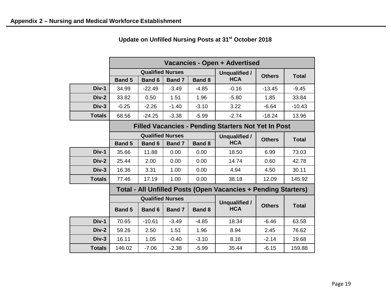|               | Vacancies - Open + Advertised |                         |               |               |                                                                |               |              |  |  |  |
|---------------|-------------------------------|-------------------------|---------------|---------------|----------------------------------------------------------------|---------------|--------------|--|--|--|
|               |                               | <b>Qualified Nurses</b> |               | Unqualified / | <b>Others</b>                                                  | <b>Total</b>  |              |  |  |  |
|               | <b>Band 5</b>                 | <b>Band 6</b>           | <b>Band 7</b> | <b>Band 8</b> | <b>HCA</b>                                                     |               |              |  |  |  |
| Div-1         | 34.99                         | $-22.49$                | $-3.49$       | $-4.85$       | $-0.16$                                                        | $-13.45$      | $-9.45$      |  |  |  |
| Div-2         | 33.82                         | 0.50                    | 1.51          | 1.96          | $-5.80$                                                        | 1.85          | 33.84        |  |  |  |
| $Div-3$       | $-0.25$                       | $-2.26$                 | $-1.40$       | $-3.10$       | 3.22                                                           | $-6.64$       | $-10.43$     |  |  |  |
| <b>Totals</b> | 68.56                         | $-24.25$                | $-3.38$       | $-5.99$       | $-2.74$                                                        | $-18.24$      | 13.96        |  |  |  |
|               |                               |                         |               |               | <b>Filled Vacancies - Pending Starters Not Yet In Post</b>     |               |              |  |  |  |
|               |                               | <b>Qualified Nurses</b> |               |               | Unqualified /                                                  | <b>Others</b> | <b>Total</b> |  |  |  |
|               | <b>Band 5</b>                 | <b>Band 6</b>           | <b>Band 7</b> | <b>Band 8</b> | <b>HCA</b>                                                     |               |              |  |  |  |
| Div-1         | 35.66                         | 11.88                   | 0.00          | 0.00          | 18.50                                                          | 6.99          | 73.03        |  |  |  |
| $Div-2$       | 25.44                         | 2.00                    | 0.00          | 0.00          | 14.74                                                          | 0.60          | 42.78        |  |  |  |
| $Div-3$       | 16.36                         | 3.31                    | 1.00          | 0.00          | 4.94                                                           | 4.50          | 30.11        |  |  |  |
| <b>Totals</b> | 77.46                         | 17.19                   | 1.00          | 0.00          | 38.18                                                          | 12.09         | 145.92       |  |  |  |
|               |                               |                         |               |               | Total - All Unfilled Posts (Open Vacancies + Pending Starters) |               |              |  |  |  |
|               |                               | <b>Qualified Nurses</b> |               |               | <b>Unqualified /</b>                                           |               |              |  |  |  |
|               | <b>Band 5</b>                 | <b>Band 6</b>           | <b>Band 7</b> | <b>Band 8</b> | <b>HCA</b>                                                     | <b>Others</b> | <b>Total</b> |  |  |  |
| Div-1         | 70.65                         | $-10.61$                | $-3.49$       | $-4.85$       | 18.34                                                          | $-6.46$       | 63.58        |  |  |  |
| Div-2         | 59.26                         | 2.50                    | 1.51          | 1.96          | 8.94                                                           | 2.45          | 76.62        |  |  |  |
| $Div-3$       | 16.11                         | 1.05                    | $-0.40$       | $-3.10$       | 8.16                                                           | $-2.14$       | 19.68        |  |  |  |
| <b>Totals</b> | 146.02                        | $-7.06$                 | $-2.38$       | $-5.99$       | 35.44                                                          | $-6.15$       | 159.88       |  |  |  |

**Update on Unfilled Nursing Posts at 31st October 2018**